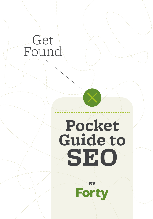## Get Found

# **Pocket Guide to SEo**

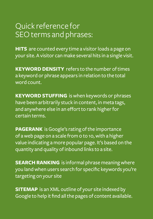### Quick reference for SEO terms and phrases:

**HITS** are counted every time a visitor loads a page on your site. A visitor can make several hits in a single visit.

**KEYWORD DENSITY** refers to the number of times a keyword or phrase appears in relation to the total word count.

**Keyword Stuffing** is when keywords or phrases have been arbitrarily stuck in content, in meta tags, and anywhere else in an effort to rank higher for certain terms.

**PAGERANK** is Google's rating of the importance of a web page on a scale from 0 to 10, with a higher value indicating a more popular page. It's based on the quantity and quality of inbound links to a site.

**SEARCH RANKING** is informal phrase meaning where you land when users search for specific keywords you're targeting on your site

**SITEMAP** is an XML outline of your site indexed by Google to help it find all the pages of content available.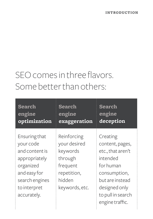### SEO comes in three flavors. Some better than others:

| <b>Search</b>                                                                                                                               | <b>Search</b>                                                                                             | Search                                                                                                                                                                |
|---------------------------------------------------------------------------------------------------------------------------------------------|-----------------------------------------------------------------------------------------------------------|-----------------------------------------------------------------------------------------------------------------------------------------------------------------------|
| engine                                                                                                                                      | engine                                                                                                    | engine                                                                                                                                                                |
| optimization                                                                                                                                | exaggeration                                                                                              | deception                                                                                                                                                             |
| Ensuring that<br>your code<br>and content is<br>appropriately<br>organized<br>and easy for<br>search engines<br>to interpret<br>accurately. | Reinforcing<br>your desired<br>keywords<br>through<br>frequent<br>repetition,<br>hidden<br>keywords, etc. | Creating<br>content, pages,<br>etc., that aren't<br>intended<br>for human<br>consumption,<br>but are instead<br>designed only<br>to pull in search<br>engine traffic. |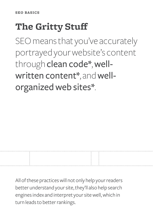### **The Gritty Stuff**

SEO means that you've accurately portrayed your website's content through clean code\*, wellwritten content\*, and wellorganized web sites\*.

All of these practices will not only help your readers better understand your site, they'll also help search engines index and interpret your site well, which in turn leads to better rankings.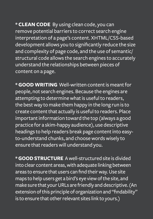**\* Clean Code** By using clean code, you can remove potential barriers to correct search engine interpretation of a page's content. XHTML/CSS-based development allows you to significantly reduce the size and complexity of page code, and the use of semantic/ structural code allows the search engines to accurately understand the relationships between pieces of content on a page.

**\* Good Writing** Well-written content is meant for people, not search engines. Because the engines are attempting to determine what is useful to readers, the best way to make them happy in the long run is to create content that actually is useful to readers. Place important information toward the top (always a good practice for a skim-happy audience), use descriptive headings to help readers break page content into easyto-understand chunks, and choose words wisely to ensure that readers will understand you.

**\* Good Structure** A well-structured site is divided into clear content areas, with adequate linking between areas to ensure that users can find their way. Use site maps to help users get a bird's eye view of the site, and make sure that your URLs are friendly and descriptive. (An extension of this principle of organization and "findability" is to ensure that other relevant sites link to yours.)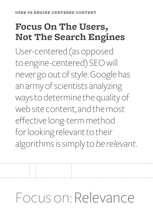### **Focus On The Users, Not The Search Engines**

User-centered (as opposed to engine-centered) SEO will never go out of style. Google has an army of scientists analyzing ways to determine the quality of web site content, and the most effective long-term method for looking relevant to their algorithms is simply to *be relevant*.

# Focus on: Relevance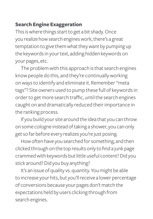#### **Search Engine Exaggeration**

This is where things start to get a bit shady. Once you realize how search engines work, there's a great temptation to give them what they want by pumping up the keywords in your text, adding hidden keywords on your pages, etc.

The problem with this approach is that search engines know people do this, and they're continually working on ways to identify and eliminate it. Remember "meta tags"? Site owners used to pump these full of keywords in order to get more search traffic, until the search engines caught on and dramatically reduced their importance in the ranking process.

If you build your site around the idea that you can throw on some cologne instead of taking a shower, you can only get so far before every realizes you're just posing.

How often have you searched for something, and then clicked through on the top results only to find a junk page crammed with keywords but little useful content? Did you stick around? Did you buy anything?

It's an issue of quality vs. quantity. You might be able to increase your hits, but you'll receive a lower percentage of conversions because your pages don't match the expectations held by users clicking through from search engines.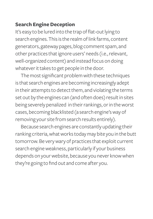#### **Search Engine Deception**

It's easy to be lured into the trap of flat-out lying to search engines. This is the realm of link farms, content generators, gateway pages, blog comment spam, and other practices that ignore users' needs (i.e., relevant, well-organized content) and instead focus on doing whatever it takes to get people in the door.

The most significant problem with these techniques is that search engines are becoming increasingly adept in their attempts to detect them, and violating the terms set out by the engines can (and often does) result in sites being severely penalized in their rankings, or in the worst cases, becoming blacklisted (a search engine's way of removing your site from search results entirely).

Because search engines are constantly updating their ranking criteria, what works today may bite you in the butt tomorrow. Be very wary of practices that exploit current search engine weakness, particularly if your business depends on your website, because you never know when they're going to find out and come after you.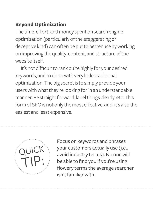#### **Beyond Optimization**

The time, effort, and money spent on search engine optimization (particularly of the exaggerating or deceptive kind) can often be put to better use by working on improving the quality, content, and structure of the website itself.

It's not difficult to rank quite highly for your desired keywords, and to do so with very little traditional optimization. The big secret is to simply provide your users with what they're looking for in an understandable manner. Be straight forward, label things clearly, etc. This form of SEO is not only the most effective kind, it's also the easiest and least expensive.



Focus on keywords and phrases your customers actually use (i.e., avoid industry terms). No one will be able to find you if you're using flowery terms the average searcher isn't familiar with.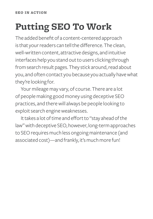## **Putting Seo To Work**

The added benefit of a content-centered approach is that your readers can tell the difference. The clean, well-written content, attractive designs, and intuitive interfaces help you stand out to users clicking through from search result pages. They stick around, read about you, and often contact you because you actually have what they're looking for.

Your mileage may vary, of course. There are a lot of people making good money using deceptive SEO practices, and there will always be people looking to exploit search engine weaknesses.

It takes a lot of time and effort to "stay ahead of the law" with deceptive SEO, however, long-term approaches to SEO requires much less ongoing maintenance (and associated cost)—and frankly, it's much more fun!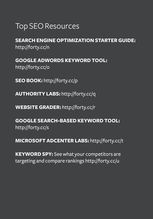### Top SEO Resources

**Search engine optimization starter guide:** http://forty.cc/n

**Google Adwords Keyword Tool:** http://forty.cc/o

**SEO Book:** http://forty.cc/p

**Authority Labs:** http://forty.cc/q

**Website Grader:** http://forty.cc/r

**Google Search-Based Keyword Tool:** http://forty.cc/s

**Microsoft AdCenter Labs:** http://forty.cc/t

**KEYWORD SPY:** See what your competitors are targeting and compare rankings http://forty.cc/u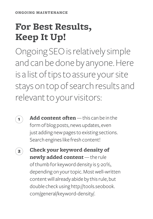### **For Best Results, Keep It Up!**

Ongoing SEO is relatively simple and can be done by anyone. Here is a list of tips to assure your site stays on top of search results and relevant to your visitors:



**Add content often** — this can be in the form of blog posts, news updates, even just adding new pages to existing sections. Search engines like fresh content!



**Check your keyword density of newly added content** — the rule of thumb for keyword density is 5-20%, depending on your topic. Most well-written content will already abide by this rule, but double check using http://tools.seobook. com/general/keyword-density/.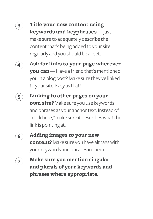

**Title your new content using keywords and keyphrases** — just make sure to adequately describe the content that's being added to your site regularly and you should be all set.



**Ask for links to your page wherever you can** — Have a friend that's mentioned you in a blog post? Make sure they've linked to your site. Easy as that!

**5**

**Linking to other pages on your own site?** Make sure you use keywords and phrases as your anchor text. Instead of "click here," make sure it describes what the link is pointing at.



**Adding images to your new content?** Make sure you have alt tags with your keywords and phrases in them.



**Make sure you mention singular and plurals of your keywords and phrases where appropriate.**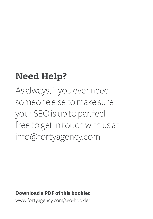### **Need Help?**

As always, if you ever need someone else to make sure your SEO is up to par, feel free to get in touch with us at info@fortyagency.com.

#### **Download a PDF of this booklet**

www.fortyagency.com/seo-booklet